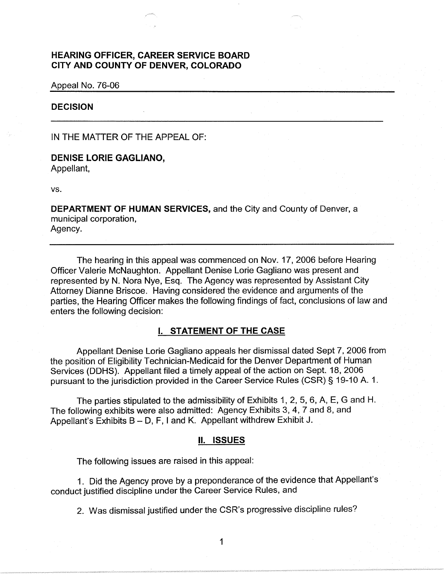# **HEARING OFFICER, CAREER SERVICE BOARD CITY AND COUNTY OF DENVER, COLORADO**

Appeal No. 76-06

# **DECISION**

IN THE MATTER OF THE APPEAL OF:

# **DENISE LORIE GAGLIANO,**

Appellant,

vs.

**DEPARTMENT OF HUMAN SERVICES,** and the City and County of Denver, a municipal corporation, Agency.

The hearing in this appeal was commenced on Nov. 17, 2006 before Hearing Officer Valerie McNaughton. Appellant Denise Lorie Gagliano was present and represented by N. Nora Nye, Esq. The Agency was represented by Assistant City Attorney Dianne Briscoe. Having considered the evidence and arguments of the parties, the Hearing Officer makes the following findings of fact, conclusions of law and enters the following decision:

### I. **STATEMENT OF THE CASE**

Appellant Denise Lorie Gagliano appeals her dismissal dated Sept 7, 2006 from the position of Eligibility Technician-Medicaid for the Denver Department of Human Services (OOHS). Appellant filed a timely appeal of the action on Sept. 18, 2006 pursuant to the jurisdiction provided in the Career Service Rules (CSR)§ 19-10 A. 1.

The parties stipulated to the admissibility of Exhibits 1, 2, 5, 6, A, E, G and H. The following exhibits were also admitted: Agency Exhibits 3, 4, 7 and 8, and Appellant's Exhibits  $B - D$ , F, I and K. Appellant withdrew Exhibit J.

### **II. ISSUES**

The following issues are raised in this appeal:

1 . Did the Agency prove by a preponderance of the evidence that Appellant's conduct justified discipline under the Career Service Rules, and

2. Was dismissal justified under the CSR's progressive discipline rules?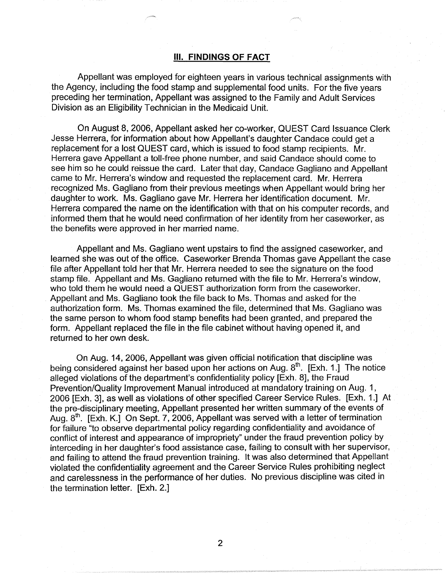# Ill. **FINDINGS OF FACT**

Appellant was employed for eighteen years in various technical assignments with the Agency, including the food stamp and supplemental food units. For the five years preceding her termination, Appellant was assigned to the Family and Adult Services Division as an Eligibility Technician in the Medicaid Unit.

On August 8, 2006, Appellant asked her co-worker, QUEST Card Issuance Clerk Jesse Herrera, for information about how Appellant's daughter Candace could get a replacement for a lost QUEST card, which is issued to food stamp recipients. Mr. Herrera gave Appellant a toll-free phone number, and said Candace should come to see him so he could reissue the card. Later that day, Candace Gagliano and Appellant came to Mr. Herrera's window and requested the replacement card. Mr. Herrera recognized Ms. Gagliano from their previous meetings when Appellant would bring her daughter to work. Ms. Gagliano gave Mr. Herrera her identification document. Mr. Herrera compared the name on the identification with that on his computer records, and informed them that he would need confirmation of her identity from her caseworker, as the benefits were approved in her married name.

Appellant and Ms. Gagliano went upstairs to find the assigned caseworker, and learned she was out of the office. Caseworker Brenda Thomas gave Appellant the case file after Appellant told her that Mr. Herrera needed to see the signature on the food stamp file. Appellant and Ms. Gagliano returned with the file to Mr. Herrera's window, who told them he would need a QUEST authorization form from the caseworker. Appellant and Ms. Gagliano took the file back to Ms. Thomas and asked for the authorization form. Ms. Thomas examined the file, determined that Ms. Gagliano was the same person to whom food stamp benefits had been granted, and prepared the form. Appellant replaced the file in the file cabinet without having opened it, and returned to her own desk.

On Aug. 14, 2006, Appellant was given official notification that discipline was being considered against her based upon her actions on Aug.  $8<sup>th</sup>$ . [Exh. 1.] The notice alleged violations of the department's confidentiality policy [Exh. 8], the Fraud Prevention/Quality Improvement Manual introduced at mandatory training on Aug. 1, 2006 [Exh. 3], as well as violations of other specified Career Service Rules. [Exh. 1.] At the pre-disciplinary meeting, Appellant presented her written summary of the events of Aug.  $8<sup>th</sup>$ . [Exh. K.] On Sept. 7, 2006, Appellant was served with a letter of termination for failure "to observe departmental policy regarding confidentiality and avoidance of conflict of interest and appearance of impropriety" under the fraud prevention policy by interceding in her daughter's food assistance case, failing to consult with her supervisor, and failing to attend the fraud prevention training. It was also determined that Appellant violated the confidentiality agreement and the Career Service Rules prohibiting neglect and carelessness in the performance of her duties. No previous discipline was cited in the termination letter. [Exh. 2.]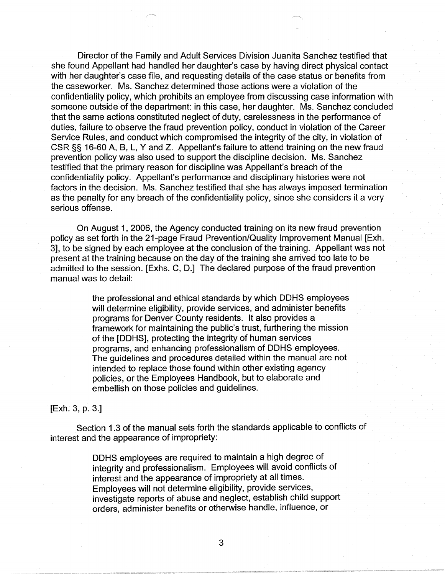Director of the Family and Adult Services Division Juanita Sanchez testified that she found Appellant had handled her daughter's case by having direct physical contact with her daughter's case file, and requesting details of the case status or benefits from the caseworker. Ms. Sanchez determined those actions were a violation of the confidentiality policy, which prohibits an employee from discussing case information with someone outside of the department: in this case, her daughter. Ms. Sanchez concluded that the same actions constituted neglect of duty, carelessness in the performance of duties, failure to observe the fraud prevention policy, conduct in violation of the Career Service Rules, and conduct which compromised the integrity of the city, in violation of CSR §§ 16-60 A, B, L, Y and Z. Appellant's failure to attend training on the new fraud prevention policy was also used to support the discipline decision. Ms. Sanchez testified that the primary reason for discipline was Appellant's breach of the confidentiality policy. Appellant's performance and disciplinary histories were not factors in the decision. Ms. Sanchez testified that she has always imposed termination as the penalty for any breach of the confidentiality policy, since she considers it a very serious offense.

On August 1, 2006, the Agency conducted training on its new fraud prevention policy as set forth in the 21-page Fraud Prevention/Quality Improvement Manual [Exh. 3], to be signed by each employee at the conclusion of the training. Appellant was not present at the training because on the day of the training she arrived too late to be admitted to the session. [Exhs. C, D.] The declared purpose of the fraud prevention manual was to detail:

> the professional and ethical standards by which OOHS employees will determine eligibility, provide services, and administer benefits programs for Denver County residents. It also provides a framework for maintaining the public's trust, furthering the mission of the [OOHS], protecting the integrity of human services programs, and enhancing professionalism of OOHS employees. The guidelines and procedures detailed within the manual are not intended to replace those found within other existing agency policies, or the Employees Handbook, but to elaborate and embellish on those policies and guidelines.

# [Exh. 3, p. 3.]

Section 1.3 of the manual sets forth the standards applicable to conflicts of interest and the appearance of impropriety:

> OOHS employees are required to maintain a high degree of integrity and professionalism. Employees will avoid conflicts of interest and the appearance of impropriety at all times. Employees will not determine eligibility, provide services, investigate reports of abuse and neglect, establish child support orders, administer benefits or otherwise handle, influence, or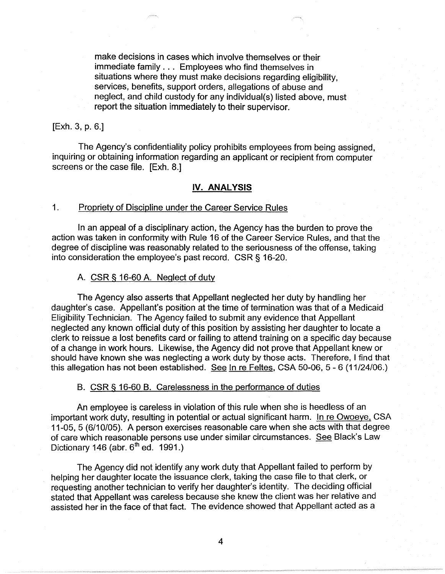make decisions in cases which involve themselves or their immediate family . . . Employees who find themselves in situations where they must make decisions regarding eligibility, services, benefits, support orders, allegations of abuse and neglect, and child custody for any individual(s) listed above, must report the situation immediately to their supervisor.

# [Exh. 3, p. 6.]

The Agency's confidentiality policy prohibits employees from being assigned, inquiring or obtaining information regarding an applicant or recipient from computer screens or the case file. [Exh. 8.]

### **IV. ANALYSIS**

# 1. Propriety of Discipline under the Career Service Rules

In an appeal of a disciplinary action, the Agency has the burden to prove the action was taken in conformity with Rule 16 of the Career Service Rules, and that the degree of discipline was reasonably related to the seriousness of the offense, taking into consideration the employee's past record. CSR § 16-20.

# A. CSR § 16-60 A. Neglect of duty

The Agency also asserts that Appellant neglected her duty by handling her daughter's case. Appellant's position at the time of termination was that of a Medicaid Eligibility Technician. The Agency failed to submit any evidence that Appellant neglected any known official duty of this position by assisting her daughter to locate a clerk to reissue a lost benefits card or failing to attend training on a specific day because of a change in work hours. Likewise, the Agency did not prove that Appellant knew or should have known she was neglecting a work duty by those acts. Therefore, I find that this allegation has not been established. See In re Feltes, CSA 50-06, 5 - 6 (11/24/06.)

#### B. CSR § 16-60 B. Carelessness in the performance of duties

An employee is careless in violation of this rule when she is heedless of an important work duty, resulting in potential or actual significant harm. In re Owoeye, CSA 11-05, 5 (6/10/05). A person exercises reasonable care when she acts with that degree of care which reasonable persons use under similar circumstances. See Black's Law Dictionary 146 (abr.  $6<sup>th</sup>$  ed. 1991.)

The Agency did not identify any work duty that Appellant failed to perform by helping her daughter locate the issuance clerk, taking the case file to that clerk, or requesting another technician to verify her daughter's identity. The deciding official stated that Appellant was careless because she knew the client was her relative and assisted her in the face of that fact. The evidence showed that Appellant acted as a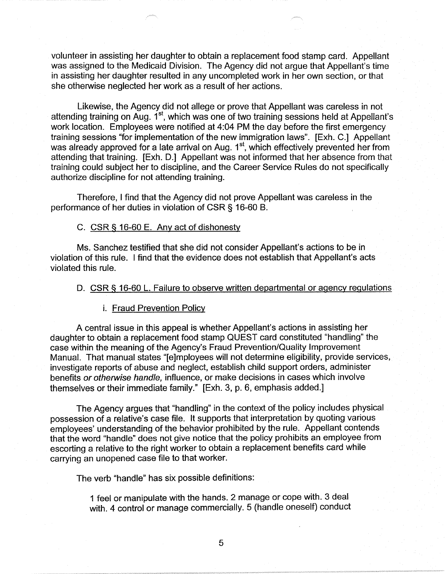volunteer in assisting her daughter to obtain a replacement food stamp card. Appellant was assigned to the Medicaid Division. The Agency did not argue that Appellant's time in assisting her daughter resulted in any uncompleted work in her own section, or that she otherwise neglected her work as a result of her actions.

Likewise, the Agency did not allege or prove that Appellant was careless in not attending training on Aug. 1<sup>st</sup>, which was one of two training sessions held at Appellant's work location. Employees were notified at 4:04 PM the day before the first emergency training sessions "for implementation of the new immigration laws". [Exh. C.] Appellant was already approved for a late arrival on Aug. 1<sup>st</sup>, which effectively prevented her from attending that training. [Exh. D.] Appellant was not informed that her absence from that training could subject her to discipline, and the Career Service Rules do not specifically authorize discipline for not attending training.

Therefore, I find that the Agency did not prove Appellant was careless in the performance of her duties in violation of CSR § 16-60 B.

# C. CSR § 16-60 E. Any act of dishonesty

Ms. Sanchez testified that she did not consider Appellant's actions to be in violation of this rule. I find that the evidence does not establish that Appellant's acts violated this rule.

# D. CSR § 16-60 L. Failure to observe written departmental or agency regulations

#### i. Fraud Prevention Policy

A central issue in this appeal is whether Appellant's actions in assisting her daughter to obtain a replacement food stamp QUEST card constituted "handling" the case within the meaning of the Agency's Fraud Prevention/Quality Improvement Manual. That manual states "[e]mployees will not determine eligibility, provide services, investigate reports of abuse and neglect, establish child support orders, administer benefits or otherwise handle, influence, or make decisions in cases which involve themselves or their immediate family." [Exh. 3, p. 6, emphasis added.]

The Agency argues that "handling" in the context of the policy includes physical possession of a relative's case file. It supports that interpretation by quoting various employees' understanding of the behavior prohibited by the rule. Appellant contends that the word "handle" does not give notice that the policy prohibits an employee from escorting a relative to the right worker to obtain a replacement benefits card while carrying an unopened case file to that worker.

The verb "handle" has six possible definitions:

1 feel or manipulate with the hands. 2 manage or cope with. 3 deal with. 4 control or manage commercially. 5 (handle oneself) conduct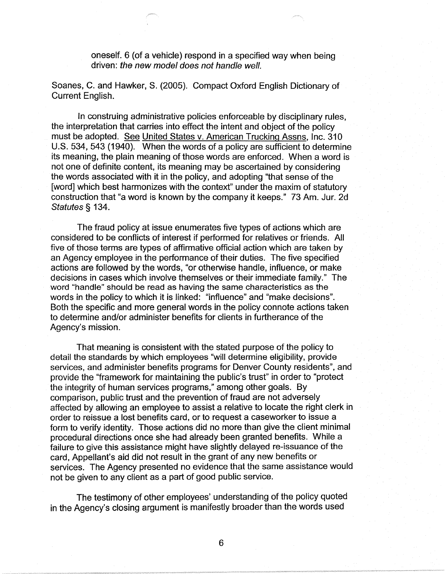oneself. 6 (of a vehicle) respond in a specified way when being driven: the new model does not handle well.

Soanes, C. and Hawker, S. (2005). Compact Oxford English Dictionary of Current English.

In construing administrative policies enforceable by disciplinary rules, the interpretation that carries into effect the intent and object of the policy must be adopted. See United States v. American Trucking Assns, Inc. 310 U.S. 534, 543 (1940). When the words of a policy are sufficient to determine its meaning, the plain meaning of those words are enforced. When a word is not one of definite content, its meaning may be ascertained by considering the words associated with it in the policy, and adopting "that sense of the [word] which best harmonizes with the context" under the maxim of statutory construction that "a word is known by the company it keeps." 73 Am. Jur. 2d Statutes § 134.

The fraud policy at issue enumerates five types of actions which are considered to be conflicts of interest if performed for relatives or friends. All five of those terms are types of affirmative official action which are taken by an Agency employee in the performance of their duties. The five specified actions are followed by the words, "or otherwise handle, influence, or make decisions in cases which involve themselves or their immediate family." The word "handle" should be read as having the same characteristics as the words in the policy to which it is linked: "influence" and "make decisions". Both the specific and more general words in the policy connote actions taken to determine and/or administer benefits for clients in furtherance of the Agency's mission.

That meaning is consistent with the stated purpose of the policy to detail the standards by which employees "will determine eligibility, provide services, and administer benefits programs for Denver County residents", and provide the "framework for maintaining the public's trust" in order to "protect the integrity of human services programs," among other goals. By comparison, public trust and the prevention of fraud are not adversely affected by allowing an employee to assist a relative to locate the right clerk in order to reissue a lost benefits card, or to request a caseworker to issue a form to verify identity. Those actions did no more than give the client minimal procedural directions once she had already been granted benefits. While a failure to give this assistance might have slightly delayed re-issuance of the card, Appellant's aid did not result in the grant of any new benefits or services. The Agency presented no evidence that the same assistance would not be given to any client as a part of good public service.

The testimony of other employees' understanding of the policy quoted in the Agency's closing argument is manifestly broader than the words used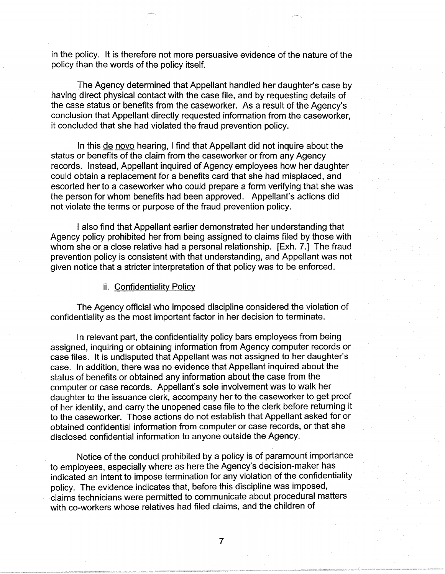in the policy. It is therefore not more persuasive evidence of the nature of the policy than the words of the policy itself.

The Agency determined that Appellant handled her daughter's case by having direct physical contact with the case file, and by requesting details of the case status or benefits from the caseworker. As a result of the Agency's conclusion that Appellant directly requested information from the caseworker, it concluded that she had violated the fraud prevention policy.

In this de nova hearing, I find that Appellant did not inquire about the status or benefits of the claim from the caseworker or from any Agency records. Instead, Appellant inquired of Agency employees how her daughter could obtain a replacement for a benefits card that she had misplaced, and escorted her to a caseworker who could prepare a form verifying that she was the person for whom benefits had been approved. Appellant's actions did not violate the terms or purpose of the fraud prevention policy.

I also find that Appellant earlier demonstrated her understanding that Agency policy prohibited her from being assigned to claims filed by those with whom she or a close relative had a personal relationship. [Exh. 7.] The fraud prevention policy is consistent with that understanding, and Appellant was not given notice that a stricter interpretation of that policy was to be enforced.

#### ii. Confidentiality Policy

The Agency official who imposed discipline considered the violation of confidentiality as the most important factor in her decision to terminate.

In relevant part, the confidentiality policy bars employees from being assigned, inquiring or obtaining information from Agency computer records or case files. It is undisputed that Appellant was not assigned to her daughter's case. In addition, there was no evidence that Appellant inquired about the status of benefits or obtained any information about the case from the computer or case records. Appellant's sole involvement was to walk her daughter to the issuance clerk, accompany her to the caseworker to get proof of her identity, and carry the unopened case file to the clerk before returning it to the caseworker. Those actions do not establish that Appellant asked for or obtained confidential information from computer or case records, or that she disclosed confidential information to anyone outside the Agency.

Notice of the conduct prohibited by a policy is of paramount importance to employees, especially where as here the Agency's decision-maker has indicated an intent to impose termination for any violation of the confidentiality policy. The evidence indicates that, before this discipline was imposed, claims technicians were permitted to communicate about procedural matters with co-workers whose relatives had filed claims, and the children of

7